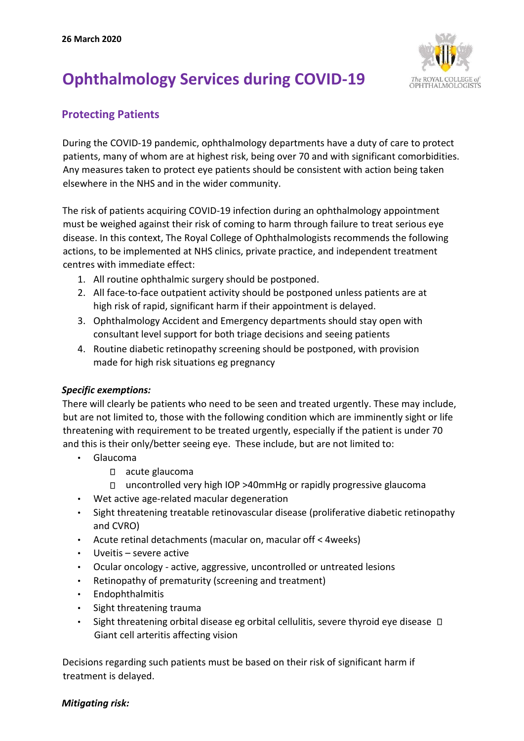# **Ophthalmology Services during COVID-19**



# **Protecting Patients**

During the COVID-19 pandemic, ophthalmology departments have a duty of care to protect patients, many of whom are at highest risk, being over 70 and with significant comorbidities. Any measures taken to protect eye patients should be consistent with action being taken elsewhere in the NHS and in the wider community.

The risk of patients acquiring COVID-19 infection during an ophthalmology appointment must be weighed against their risk of coming to harm through failure to treat serious eye disease. In this context, The Royal College of Ophthalmologists recommends the following actions, to be implemented at NHS clinics, private practice, and independent treatment centres with immediate effect:

- 1. All routine ophthalmic surgery should be postponed.
- 2. All face-to-face outpatient activity should be postponed unless patients are at high risk of rapid, significant harm if their appointment is delayed.
- 3. Ophthalmology Accident and Emergency departments should stay open with consultant level support for both triage decisions and seeing patients
- 4. Routine diabetic retinopathy screening should be postponed, with provision made for high risk situations eg pregnancy

## *Specific exemptions:*

There will clearly be patients who need to be seen and treated urgently. These may include, but are not limited to, those with the following condition which are imminently sight or life threatening with requirement to be treated urgently, especially if the patient is under 70 and this is their only/better seeing eye. These include, but are not limited to:

- Glaucoma
	- acute glaucoma
	- uncontrolled very high IOP >40mmHg or rapidly progressive glaucoma
- Wet active age-related macular degeneration
- Sight threatening treatable retinovascular disease (proliferative diabetic retinopathy and CVRO)
- Acute retinal detachments (macular on, macular off < 4weeks)
- Uveitis severe active
- Ocular oncology active, aggressive, uncontrolled or untreated lesions
- Retinopathy of prematurity (screening and treatment)
- Endophthalmitis
- Sight threatening trauma
- Sight threatening orbital disease eg orbital cellulitis, severe thyroid eye disease  $\Box$ Giant cell arteritis affecting vision

Decisions regarding such patients must be based on their risk of significant harm if treatment is delayed.

#### *Mitigating risk:*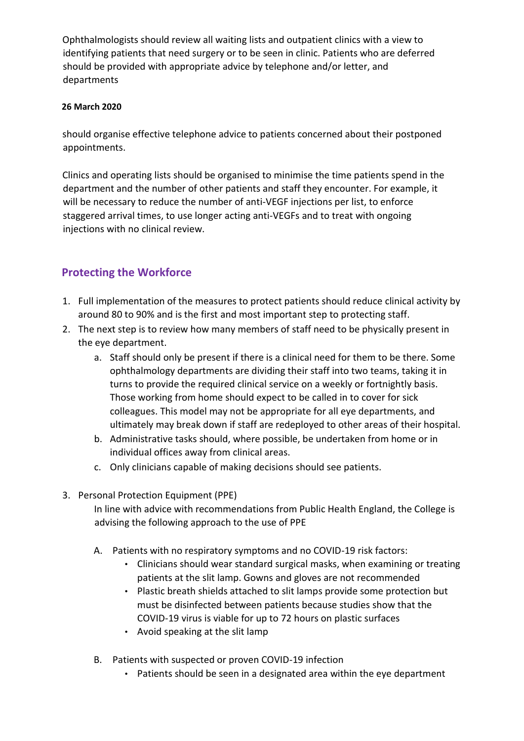Ophthalmologists should review all waiting lists and outpatient clinics with a view to identifying patients that need surgery or to be seen in clinic. Patients who are deferred should be provided with appropriate advice by telephone and/or letter, and departments

## **26 March 2020**

should organise effective telephone advice to patients concerned about their postponed appointments.

Clinics and operating lists should be organised to minimise the time patients spend in the department and the number of other patients and staff they encounter. For example, it will be necessary to reduce the number of anti-VEGF injections per list, to enforce staggered arrival times, to use longer acting anti-VEGFs and to treat with ongoing injections with no clinical review.

# **Protecting the Workforce**

- 1. Full implementation of the measures to protect patients should reduce clinical activity by around 80 to 90% and is the first and most important step to protecting staff.
- 2. The next step is to review how many members of staff need to be physically present in the eye department.
	- a. Staff should only be present if there is a clinical need for them to be there. Some ophthalmology departments are dividing their staff into two teams, taking it in turns to provide the required clinical service on a weekly or fortnightly basis. Those working from home should expect to be called in to cover for sick colleagues. This model may not be appropriate for all eye departments, and ultimately may break down if staff are redeployed to other areas of their hospital.
	- b. Administrative tasks should, where possible, be undertaken from home or in individual offices away from clinical areas.
	- c. Only clinicians capable of making decisions should see patients.
- 3. Personal Protection Equipment (PPE)

In line with advice with recommendations from Public Health England, the College is advising the following approach to the use of PPE

- A. Patients with no respiratory symptoms and no COVID-19 risk factors:
	- Clinicians should wear standard surgical masks, when examining or treating patients at the slit lamp. Gowns and gloves are not recommended
	- Plastic breath shields attached to slit lamps provide some protection but must be disinfected between patients because studies show that the COVID-19 virus is viable for up to 72 hours on plastic surfaces
	- Avoid speaking at the slit lamp
- B. Patients with suspected or proven COVID-19 infection
	- Patients should be seen in a designated area within the eye department